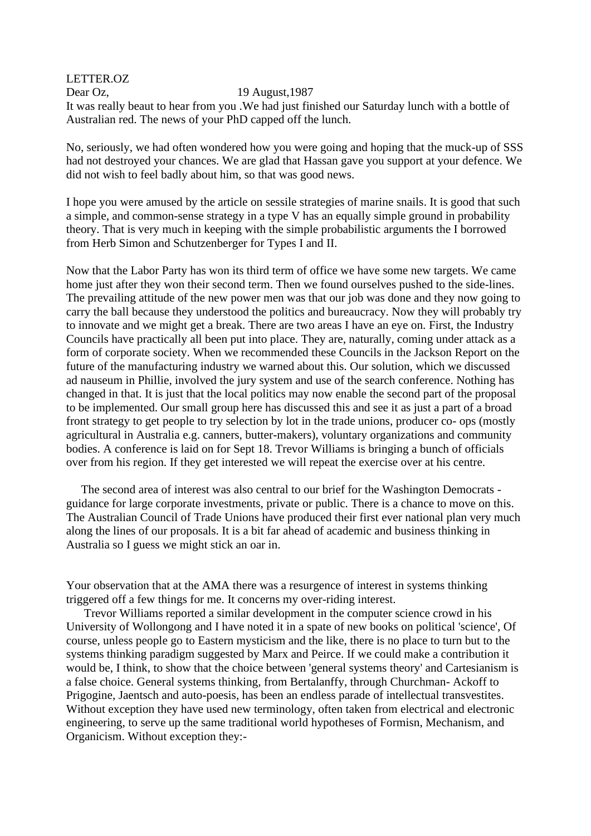LETTER.OZ Dear Oz, 19 August, 1987 It was really beaut to hear from you .We had just finished our Saturday lunch with a bottle of Australian red. The news of your PhD capped off the lunch.

No, seriously, we had often wondered how you were going and hoping that the muck-up of SSS had not destroyed your chances. We are glad that Hassan gave you support at your defence. We did not wish to feel badly about him, so that was good news.

I hope you were amused by the article on sessile strategies of marine snails. It is good that such a simple, and common-sense strategy in a type V has an equally simple ground in probability theory. That is very much in keeping with the simple probabilistic arguments the I borrowed from Herb Simon and Schutzenberger for Types I and II.

Now that the Labor Party has won its third term of office we have some new targets. We came home just after they won their second term. Then we found ourselves pushed to the side-lines. The prevailing attitude of the new power men was that our job was done and they now going to carry the ball because they understood the politics and bureaucracy. Now they will probably try to innovate and we might get a break. There are two areas I have an eye on. First, the Industry Councils have practically all been put into place. They are, naturally, coming under attack as a form of corporate society. When we recommended these Councils in the Jackson Report on the future of the manufacturing industry we warned about this. Our solution, which we discussed ad nauseum in Phillie, involved the jury system and use of the search conference. Nothing has changed in that. It is just that the local politics may now enable the second part of the proposal to be implemented. Our small group here has discussed this and see it as just a part of a broad front strategy to get people to try selection by lot in the trade unions, producer co- ops (mostly agricultural in Australia e.g. canners, butter-makers), voluntary organizations and community bodies. A conference is laid on for Sept 18. Trevor Williams is bringing a bunch of officials over from his region. If they get interested we will repeat the exercise over at his centre.

 The second area of interest was also central to our brief for the Washington Democrats guidance for large corporate investments, private or public. There is a chance to move on this. The Australian Council of Trade Unions have produced their first ever national plan very much along the lines of our proposals. It is a bit far ahead of academic and business thinking in Australia so I guess we might stick an oar in.

Your observation that at the AMA there was a resurgence of interest in systems thinking triggered off a few things for me. It concerns my over-riding interest.

 Trevor Williams reported a similar development in the computer science crowd in his University of Wollongong and I have noted it in a spate of new books on political 'science', Of course, unless people go to Eastern mysticism and the like, there is no place to turn but to the systems thinking paradigm suggested by Marx and Peirce. If we could make a contribution it would be, I think, to show that the choice between 'general systems theory' and Cartesianism is a false choice. General systems thinking, from Bertalanffy, through Churchman- Ackoff to Prigogine, Jaentsch and auto-poesis, has been an endless parade of intellectual transvestites. Without exception they have used new terminology, often taken from electrical and electronic engineering, to serve up the same traditional world hypotheses of Formisn, Mechanism, and Organicism. Without exception they:-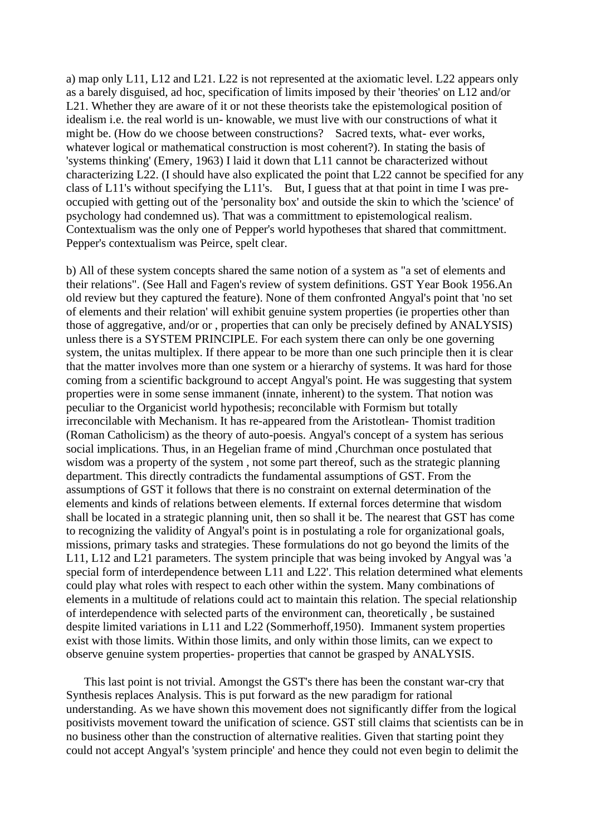a) map only L11, L12 and L21. L22 is not represented at the axiomatic level. L22 appears only as a barely disguised, ad hoc, specification of limits imposed by their 'theories' on L12 and/or L21. Whether they are aware of it or not these theorists take the epistemological position of idealism i.e. the real world is un- knowable, we must live with our constructions of what it might be. (How do we choose between constructions? Sacred texts, what- ever works, whatever logical or mathematical construction is most coherent?). In stating the basis of 'systems thinking' (Emery, 1963) I laid it down that L11 cannot be characterized without characterizing L22. (I should have also explicated the point that L22 cannot be specified for any class of L11's without specifying the L11's. But, I guess that at that point in time I was preoccupied with getting out of the 'personality box' and outside the skin to which the 'science' of psychology had condemned us). That was a committment to epistemological realism. Contextualism was the only one of Pepper's world hypotheses that shared that committment. Pepper's contextualism was Peirce, spelt clear.

b) All of these system concepts shared the same notion of a system as "a set of elements and their relations". (See Hall and Fagen's review of system definitions. GST Year Book 1956.An old review but they captured the feature). None of them confronted Angyal's point that 'no set of elements and their relation' will exhibit genuine system properties (ie properties other than those of aggregative, and/or or , properties that can only be precisely defined by ANALYSIS) unless there is a SYSTEM PRINCIPLE. For each system there can only be one governing system, the unitas multiplex. If there appear to be more than one such principle then it is clear that the matter involves more than one system or a hierarchy of systems. It was hard for those coming from a scientific background to accept Angyal's point. He was suggesting that system properties were in some sense immanent (innate, inherent) to the system. That notion was peculiar to the Organicist world hypothesis; reconcilable with Formism but totally irreconcilable with Mechanism. It has re-appeared from the Aristotlean- Thomist tradition (Roman Catholicism) as the theory of auto-poesis. Angyal's concept of a system has serious social implications. Thus, in an Hegelian frame of mind ,Churchman once postulated that wisdom was a property of the system, not some part thereof, such as the strategic planning department. This directly contradicts the fundamental assumptions of GST. From the assumptions of GST it follows that there is no constraint on external determination of the elements and kinds of relations between elements. If external forces determine that wisdom shall be located in a strategic planning unit, then so shall it be. The nearest that GST has come to recognizing the validity of Angyal's point is in postulating a role for organizational goals, missions, primary tasks and strategies. These formulations do not go beyond the limits of the L11, L12 and L21 parameters. The system principle that was being invoked by Angyal was 'a special form of interdependence between L11 and L22'. This relation determined what elements could play what roles with respect to each other within the system. Many combinations of elements in a multitude of relations could act to maintain this relation. The special relationship of interdependence with selected parts of the environment can, theoretically , be sustained despite limited variations in L11 and L22 (Sommerhoff,1950). Immanent system properties exist with those limits. Within those limits, and only within those limits, can we expect to observe genuine system properties- properties that cannot be grasped by ANALYSIS.

 This last point is not trivial. Amongst the GST's there has been the constant war-cry that Synthesis replaces Analysis. This is put forward as the new paradigm for rational understanding. As we have shown this movement does not significantly differ from the logical positivists movement toward the unification of science. GST still claims that scientists can be in no business other than the construction of alternative realities. Given that starting point they could not accept Angyal's 'system principle' and hence they could not even begin to delimit the